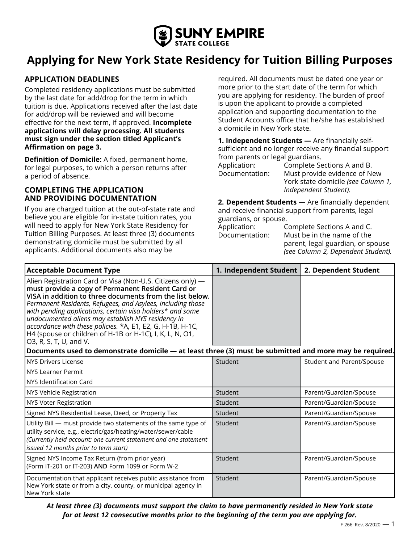

# **Applying for New York State Residency for Tuition Billing Purposes**

## **APPLICATION DEADLINES**

Completed residency applications must be submitted by the last date for add/drop for the term in which tuition is due. Applications received after the last date for add/drop will be reviewed and will become effective for the next term, if approved. **Incomplete applications will delay processing. All students must sign under the section titled Applicant's Affirmation on page 3.**

**Definition of Domicile:** A fixed, permanent home, for legal purposes, to which a person returns after a period of absence.

### **COMPLETING THE APPLICATION AND PROVIDING DOCUMENTATION**

If you are charged tuition at the out-of-state rate and believe you are eligible for in-state tuition rates, you will need to apply for New York State Residency for Tuition Billing Purposes. At least three (3) documents demonstrating domicile must be submitted by all applicants. Additional documents also may be

required. All documents must be dated one year or more prior to the start date of the term for which you are applying for residency. The burden of proof is upon the applicant to provide a completed application and supporting documentation to the Student Accounts office that he/she has established a domicile in New York state.

**1. Independent Students —** Are financially selfsufficient and no longer receive any financial support from parents or legal guardians.

| Application:   | Complete Sections A and B.         |
|----------------|------------------------------------|
| Documentation: | Must provide evidence of New       |
|                | York state domicile (see Column 1, |
|                | Independent Student).              |

**2. Dependent Students —** Are financially dependent and receive financial support from parents, legal guardians, or spouse.

| Application:   | Complete Sections A and C.         |
|----------------|------------------------------------|
| Documentation: | Must be in the name of the         |
|                | parent, legal guardian, or spouse  |
|                | (see Column 2, Dependent Student). |

| <b>Acceptable Document Type</b>                                                                                                                                                                                                                                                                                                                                                                                                                                                                                   | 1. Independent Student   2. Dependent Student |                           |
|-------------------------------------------------------------------------------------------------------------------------------------------------------------------------------------------------------------------------------------------------------------------------------------------------------------------------------------------------------------------------------------------------------------------------------------------------------------------------------------------------------------------|-----------------------------------------------|---------------------------|
| Alien Registration Card or Visa (Non-U.S. Citizens only) -<br>must provide a copy of Permanent Resident Card or<br>VISA in addition to three documents from the list below.<br>Permanent Residents, Refugees, and Asylees, including those<br>with pending applications, certain visa holders* and some<br>undocumented aliens may establish NYS residency in<br>accordance with these policies. *A, E1, E2, G, H-1B, H-1C,<br>H4 (spouse or children of H-1B or H-1C), I, K, L, N, O1,<br>O3, R, S, T, U, and V. |                                               |                           |
| Documents used to demonstrate domicile — at least three (3) must be submitted and more may be required.                                                                                                                                                                                                                                                                                                                                                                                                           |                                               |                           |
| NYS Drivers License                                                                                                                                                                                                                                                                                                                                                                                                                                                                                               | Student                                       | Student and Parent/Spouse |
| <b>I</b> NYS Learner Permit                                                                                                                                                                                                                                                                                                                                                                                                                                                                                       |                                               |                           |
| NYS Identification Card                                                                                                                                                                                                                                                                                                                                                                                                                                                                                           |                                               |                           |
| NYS Vehicle Registration                                                                                                                                                                                                                                                                                                                                                                                                                                                                                          | Student                                       | Parent/Guardian/Spouse    |
| NYS Voter Registration                                                                                                                                                                                                                                                                                                                                                                                                                                                                                            | Student                                       | Parent/Guardian/Spouse    |
| Signed NYS Residential Lease, Deed, or Property Tax                                                                                                                                                                                                                                                                                                                                                                                                                                                               | Student                                       | Parent/Guardian/Spouse    |
| Utility Bill - must provide two statements of the same type of<br>utility service, e.g., electric/gas/heating/water/sewer/cable<br>(Currently held account: one current statement and one statement<br>issued 12 months prior to term start)                                                                                                                                                                                                                                                                      | Student                                       | Parent/Guardian/Spouse    |
| Signed NYS Income Tax Return (from prior year)<br>(Form IT-201 or IT-203) AND Form 1099 or Form W-2                                                                                                                                                                                                                                                                                                                                                                                                               | Student                                       | Parent/Guardian/Spouse    |
| Documentation that applicant receives public assistance from<br>New York state or from a city, county, or municipal agency in<br>New York state                                                                                                                                                                                                                                                                                                                                                                   | Student                                       | Parent/Guardian/Spouse    |

*At least three (3) documents must support the claim to have permanently resided in New York state for at least 12 consecutive months prior to the beginning of the term you are applying for.*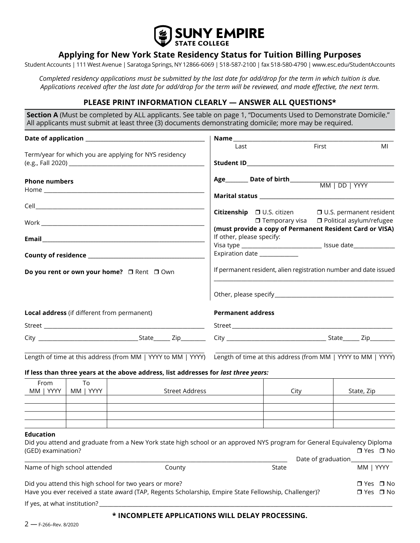

## **Applying for New York State Residency Status for Tuition Billing Purposes**

Student Accounts | 111 West Avenue | Saratoga Springs, NY 12866-6069 | 518-587-2100 | fax 518-580-4790 | www.esc.edu/StudentAccounts

*Completed residency applications must be submitted by the last date for add/drop for the term in which tuition is due. Applications received after the last date for add/drop for the term will be reviewed, and made effective, the next term.*

## **PLEASE PRINT INFORMATION CLEARLY — ANSWER ALL QUESTIONS\***

**Section A** (Must be completed by ALL applicants. See table on page 1, "Documents Used to Demonstrate Domicile." All applicants must submit at least three (3) documents demonstrating domicile; more may be required.

|                                        |                                             | Term/year for which you are applying for NYS residency                                                                                                          | Last                                                                                                          | First                                                 | MI                                           |  |  |
|----------------------------------------|---------------------------------------------|-----------------------------------------------------------------------------------------------------------------------------------------------------------------|---------------------------------------------------------------------------------------------------------------|-------------------------------------------------------|----------------------------------------------|--|--|
|                                        |                                             |                                                                                                                                                                 |                                                                                                               |                                                       |                                              |  |  |
| <b>Phone numbers</b>                   |                                             |                                                                                                                                                                 |                                                                                                               |                                                       |                                              |  |  |
|                                        |                                             |                                                                                                                                                                 |                                                                                                               |                                                       |                                              |  |  |
|                                        |                                             |                                                                                                                                                                 | Citizenship □ U.S. citizen                                                                                    | $\Box$ Temporary visa $\Box$ Political asylum/refugee | □ U.S. permanent resident                    |  |  |
|                                        |                                             |                                                                                                                                                                 | (must provide a copy of Permanent Resident Card or VISA)                                                      |                                                       |                                              |  |  |
|                                        |                                             |                                                                                                                                                                 | If other, please specify:<br>Visa type __________________________________ Issue date_________________________ |                                                       |                                              |  |  |
|                                        |                                             |                                                                                                                                                                 | Expiration date ___________                                                                                   |                                                       |                                              |  |  |
|                                        | Do you rent or own your home? O Rent O Own  |                                                                                                                                                                 | If permanent resident, alien registration number and date issued                                              |                                                       |                                              |  |  |
|                                        |                                             |                                                                                                                                                                 |                                                                                                               |                                                       |                                              |  |  |
|                                        | Local address (if different from permanent) |                                                                                                                                                                 | <b>Permanent address</b>                                                                                      |                                                       |                                              |  |  |
|                                        |                                             |                                                                                                                                                                 |                                                                                                               |                                                       |                                              |  |  |
|                                        |                                             |                                                                                                                                                                 |                                                                                                               |                                                       |                                              |  |  |
|                                        |                                             | Length of time at this address (from MM   YYYY to MM   YYYY) Length of time at this address (from MM   YYYY to MM   YYYY)                                       |                                                                                                               |                                                       |                                              |  |  |
|                                        |                                             | If less than three years at the above address, list addresses for last three years:                                                                             |                                                                                                               |                                                       |                                              |  |  |
| From<br>MM   YYYY                      | To<br>MM   YYYY                             | <b>Street Address</b>                                                                                                                                           |                                                                                                               | City                                                  | State, Zip                                   |  |  |
|                                        |                                             |                                                                                                                                                                 |                                                                                                               |                                                       |                                              |  |  |
| <b>Education</b><br>(GED) examination? |                                             | Did you attend and graduate from a New York state high school or an approved NYS program for General Equivalency Diploma                                        |                                                                                                               |                                                       | $\Box$ Yes $\Box$ No                         |  |  |
|                                        | Name of high school attended                | County                                                                                                                                                          | State                                                                                                         | Date of graduation_                                   | MM   YYYY                                    |  |  |
|                                        |                                             |                                                                                                                                                                 |                                                                                                               |                                                       |                                              |  |  |
|                                        |                                             | Did you attend this high school for two years or more?<br>Have you ever received a state award (TAP, Regents Scholarship, Empire State Fellowship, Challenger)? |                                                                                                               |                                                       | $\Box$ Yes $\Box$ No<br>$\Box$ Yes $\Box$ No |  |  |
| If yes, at what institution?           |                                             |                                                                                                                                                                 |                                                                                                               |                                                       |                                              |  |  |

#### **\* INCOMPLETE APPLICATIONS WILL DELAY PROCESSING.**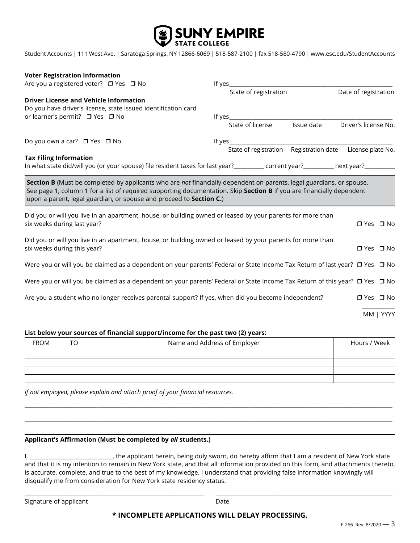

Student Accounts | 111 West Ave. | Saratoga Springs, NY 12866-6069 | 518-587-2100 | fax 518-580-4790 | www.esc.edu/StudentAccounts

| <b>Voter Registration Information</b>                                                                                                                                                                                                                                                                                |        |                                                           |            |                      |           |
|----------------------------------------------------------------------------------------------------------------------------------------------------------------------------------------------------------------------------------------------------------------------------------------------------------------------|--------|-----------------------------------------------------------|------------|----------------------|-----------|
| Are you a registered voter? □ Yes □ No                                                                                                                                                                                                                                                                               | lf ves |                                                           |            |                      |           |
|                                                                                                                                                                                                                                                                                                                      |        | State of registration                                     |            | Date of registration |           |
| <b>Driver License and Vehicle Information</b><br>Do you have driver's license, state issued identification card                                                                                                                                                                                                      |        |                                                           |            |                      |           |
| or learner's permit? □ Yes □ No                                                                                                                                                                                                                                                                                      |        |                                                           |            |                      |           |
|                                                                                                                                                                                                                                                                                                                      |        | State of license                                          | Issue date | Driver's license No. |           |
| Do you own a car? □ Yes □ No                                                                                                                                                                                                                                                                                         |        |                                                           |            |                      |           |
|                                                                                                                                                                                                                                                                                                                      |        | State of registration Registration date License plate No. |            |                      |           |
| <b>Tax Filing Information</b>                                                                                                                                                                                                                                                                                        |        |                                                           |            |                      |           |
| Section B (Must be completed by applicants who are not financially dependent on parents, legal guardians, or spouse.<br>See page 1, column 1 for a list of required supporting documentation. Skip Section B if you are financially dependent<br>upon a parent, legal guardian, or spouse and proceed to Section C.) |        |                                                           |            |                      |           |
| Did you or will you live in an apartment, house, or building owned or leased by your parents for more than<br>six weeks during last year?                                                                                                                                                                            |        |                                                           |            | $\Box$ Yes $\Box$ No |           |
| Did you or will you live in an apartment, house, or building owned or leased by your parents for more than<br>six weeks during this year?                                                                                                                                                                            |        |                                                           |            | $\Box$ Yes $\Box$ No |           |
| Were you or will you be claimed as a dependent on your parents' Federal or State Income Tax Return of last year? □ Yes □ No                                                                                                                                                                                          |        |                                                           |            |                      |           |
| Were you or will you be claimed as a dependent on your parents' Federal or State Income Tax Return of this year? □ Yes □ No                                                                                                                                                                                          |        |                                                           |            |                      |           |
| Are you a student who no longer receives parental support? If yes, when did you become independent?                                                                                                                                                                                                                  |        |                                                           |            | $\Box$ Yes $\Box$ No |           |
|                                                                                                                                                                                                                                                                                                                      |        |                                                           |            |                      | MM   YYYY |

#### **List below your sources of financial support/income for the past two (2) years:**

| <b>FROM</b> | TO . | Name and Address of Employer | Hours / Week |
|-------------|------|------------------------------|--------------|
|             |      |                              |              |
|             |      |                              |              |
|             |      |                              |              |
|             |      |                              |              |

\_\_\_\_\_\_\_\_\_\_\_\_\_\_\_\_\_\_\_\_\_\_\_\_\_\_\_\_\_\_\_\_\_\_\_\_\_\_\_\_\_\_\_\_\_\_\_\_\_\_\_\_\_\_\_\_\_\_\_\_\_\_\_\_\_\_\_\_\_\_\_\_\_\_\_\_\_\_\_\_\_\_\_\_\_\_\_\_\_\_\_\_\_\_\_\_\_\_\_\_\_\_\_\_\_\_\_\_\_\_\_\_\_\_\_\_\_\_\_\_\_\_\_\_\_\_\_\_\_\_\_\_\_

\_\_\_\_\_\_\_\_\_\_\_\_\_\_\_\_\_\_\_\_\_\_\_\_\_\_\_\_\_\_\_\_\_\_\_\_\_\_\_\_\_\_\_\_\_\_\_\_\_\_\_\_\_\_\_\_\_\_\_\_\_\_\_\_\_\_\_\_\_\_\_\_\_\_\_\_\_\_\_\_\_\_\_\_\_\_\_\_\_\_\_\_\_\_\_\_\_\_\_\_\_\_\_\_\_\_\_\_\_\_\_\_\_\_\_\_\_\_\_\_\_\_\_\_\_\_\_\_\_\_\_\_\_

*If not employed, please explain and attach proof of your financial resources.*

#### **Applicant's Affirmation (Must be completed by** *all* **students.)**

I, \_\_\_\_\_\_\_\_\_\_\_\_\_\_\_\_\_\_\_\_\_\_\_\_\_\_\_, the applicant herein, being duly sworn, do hereby affirm that I am a resident of New York state and that it is my intention to remain in New York state, and that all information provided on this form, and attachments thereto, is accurate, complete, and true to the best of my knowledge. I understand that providing false information knowingly will disqualify me from consideration for New York state residency status.

Signature of applicant and the control of the Date Date

#### **\* INCOMPLETE APPLICATIONS WILL DELAY PROCESSING.**

\_\_\_\_\_\_\_\_\_\_\_\_\_\_\_\_\_\_\_\_\_\_\_\_\_\_\_\_\_\_\_\_\_\_\_\_\_\_\_\_\_\_\_\_\_\_\_\_\_\_\_\_\_\_\_\_\_\_\_\_\_\_\_\_\_ \_\_\_\_\_\_\_\_\_\_\_\_\_\_\_\_\_\_\_\_\_\_\_\_\_\_\_\_\_\_\_\_\_\_\_\_\_\_\_\_\_\_\_\_\_\_\_\_\_\_\_\_\_\_\_\_\_\_\_\_\_\_\_\_